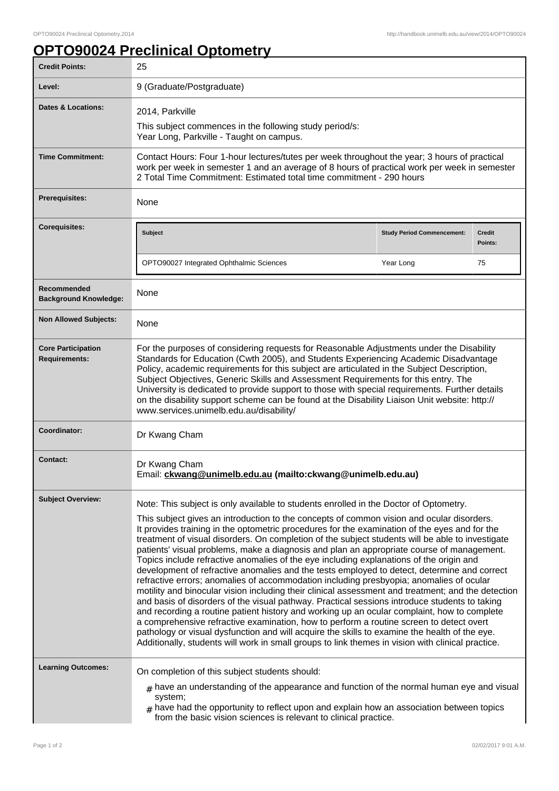## **OPTO90024 Preclinical Optometry**

| <b>Credit Points:</b>                             | 25                                                                                                                                                                                                                                                                                                                                                                                                                                                                                                                                                                                                                                                                                                                                                                                                                                                                                                                                                                                                                                                                                                                                                                                                                                                                                                                                                                               |                                   |                          |
|---------------------------------------------------|----------------------------------------------------------------------------------------------------------------------------------------------------------------------------------------------------------------------------------------------------------------------------------------------------------------------------------------------------------------------------------------------------------------------------------------------------------------------------------------------------------------------------------------------------------------------------------------------------------------------------------------------------------------------------------------------------------------------------------------------------------------------------------------------------------------------------------------------------------------------------------------------------------------------------------------------------------------------------------------------------------------------------------------------------------------------------------------------------------------------------------------------------------------------------------------------------------------------------------------------------------------------------------------------------------------------------------------------------------------------------------|-----------------------------------|--------------------------|
| Level:                                            | 9 (Graduate/Postgraduate)                                                                                                                                                                                                                                                                                                                                                                                                                                                                                                                                                                                                                                                                                                                                                                                                                                                                                                                                                                                                                                                                                                                                                                                                                                                                                                                                                        |                                   |                          |
| Dates & Locations:                                | 2014, Parkville<br>This subject commences in the following study period/s:<br>Year Long, Parkville - Taught on campus.                                                                                                                                                                                                                                                                                                                                                                                                                                                                                                                                                                                                                                                                                                                                                                                                                                                                                                                                                                                                                                                                                                                                                                                                                                                           |                                   |                          |
| <b>Time Commitment:</b>                           | Contact Hours: Four 1-hour lectures/tutes per week throughout the year; 3 hours of practical<br>work per week in semester 1 and an average of 8 hours of practical work per week in semester<br>2 Total Time Commitment: Estimated total time commitment - 290 hours                                                                                                                                                                                                                                                                                                                                                                                                                                                                                                                                                                                                                                                                                                                                                                                                                                                                                                                                                                                                                                                                                                             |                                   |                          |
| <b>Prerequisites:</b>                             | None                                                                                                                                                                                                                                                                                                                                                                                                                                                                                                                                                                                                                                                                                                                                                                                                                                                                                                                                                                                                                                                                                                                                                                                                                                                                                                                                                                             |                                   |                          |
| <b>Corequisites:</b>                              | <b>Subject</b>                                                                                                                                                                                                                                                                                                                                                                                                                                                                                                                                                                                                                                                                                                                                                                                                                                                                                                                                                                                                                                                                                                                                                                                                                                                                                                                                                                   | <b>Study Period Commencement:</b> | <b>Credit</b><br>Points: |
|                                                   | OPTO90027 Integrated Ophthalmic Sciences                                                                                                                                                                                                                                                                                                                                                                                                                                                                                                                                                                                                                                                                                                                                                                                                                                                                                                                                                                                                                                                                                                                                                                                                                                                                                                                                         | Year Long                         | 75                       |
| Recommended<br><b>Background Knowledge:</b>       | None                                                                                                                                                                                                                                                                                                                                                                                                                                                                                                                                                                                                                                                                                                                                                                                                                                                                                                                                                                                                                                                                                                                                                                                                                                                                                                                                                                             |                                   |                          |
| <b>Non Allowed Subjects:</b>                      | <b>None</b>                                                                                                                                                                                                                                                                                                                                                                                                                                                                                                                                                                                                                                                                                                                                                                                                                                                                                                                                                                                                                                                                                                                                                                                                                                                                                                                                                                      |                                   |                          |
| <b>Core Participation</b><br><b>Requirements:</b> | For the purposes of considering requests for Reasonable Adjustments under the Disability<br>Standards for Education (Cwth 2005), and Students Experiencing Academic Disadvantage<br>Policy, academic requirements for this subject are articulated in the Subject Description,<br>Subject Objectives, Generic Skills and Assessment Requirements for this entry. The<br>University is dedicated to provide support to those with special requirements. Further details<br>on the disability support scheme can be found at the Disability Liaison Unit website: http://<br>www.services.unimelb.edu.au/disability/                                                                                                                                                                                                                                                                                                                                                                                                                                                                                                                                                                                                                                                                                                                                                               |                                   |                          |
| Coordinator:                                      | Dr Kwang Cham                                                                                                                                                                                                                                                                                                                                                                                                                                                                                                                                                                                                                                                                                                                                                                                                                                                                                                                                                                                                                                                                                                                                                                                                                                                                                                                                                                    |                                   |                          |
| <b>Contact:</b>                                   | Dr Kwang Cham<br>Email: ckwang@unimelb.edu.au (mailto:ckwang@unimelb.edu.au)                                                                                                                                                                                                                                                                                                                                                                                                                                                                                                                                                                                                                                                                                                                                                                                                                                                                                                                                                                                                                                                                                                                                                                                                                                                                                                     |                                   |                          |
| <b>Subject Overview:</b>                          | Note: This subject is only available to students enrolled in the Doctor of Optometry.<br>This subject gives an introduction to the concepts of common vision and ocular disorders.<br>It provides training in the optometric procedures for the examination of the eyes and for the<br>treatment of visual disorders. On completion of the subject students will be able to investigate<br>patients' visual problems, make a diagnosis and plan an appropriate course of management.<br>Topics include refractive anomalies of the eye including explanations of the origin and<br>development of refractive anomalies and the tests employed to detect, determine and correct<br>refractive errors; anomalies of accommodation including presbyopia; anomalies of ocular<br>motility and binocular vision including their clinical assessment and treatment; and the detection<br>and basis of disorders of the visual pathway. Practical sessions introduce students to taking<br>and recording a routine patient history and working up an ocular complaint, how to complete<br>a comprehensive refractive examination, how to perform a routine screen to detect overt<br>pathology or visual dysfunction and will acquire the skills to examine the health of the eye.<br>Additionally, students will work in small groups to link themes in vision with clinical practice. |                                   |                          |
| <b>Learning Outcomes:</b>                         | On completion of this subject students should:<br>$#$ have an understanding of the appearance and function of the normal human eye and visual<br>system;<br>$_{\#}$ have had the opportunity to reflect upon and explain how an association between topics<br>from the basic vision sciences is relevant to clinical practice.                                                                                                                                                                                                                                                                                                                                                                                                                                                                                                                                                                                                                                                                                                                                                                                                                                                                                                                                                                                                                                                   |                                   |                          |